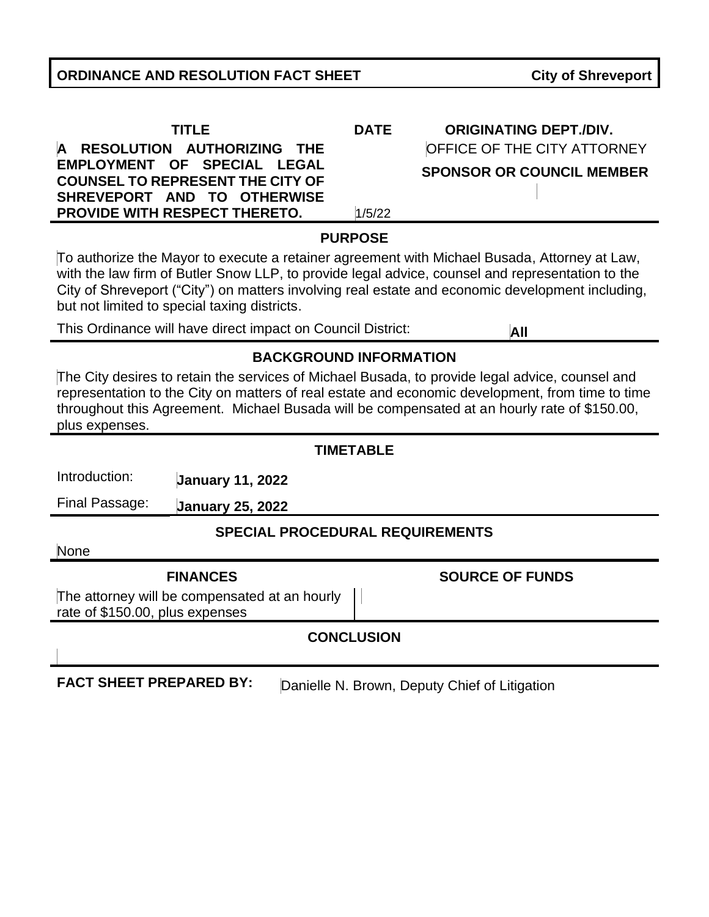# **ORDINANCE AND RESOLUTION FACT SHEET CITY City of Shreveport**

| TITI E.                                                                | <b>DATE</b> | <b>ORIGINATING DEPT./DIV.</b>      |
|------------------------------------------------------------------------|-------------|------------------------------------|
| A RESOLUTION AUTHORIZING THE                                           |             | <b>OFFICE OF THE CITY ATTORNEY</b> |
| EMPLOYMENT OF SPECIAL LEGAL<br><b>COUNSEL TO REPRESENT THE CITY OF</b> |             | <b>SPONSOR OR COUNCIL MEMBER</b>   |
| SHREVEPORT AND TO OTHERWISE                                            |             |                                    |
| <b>PROVIDE WITH RESPECT THERETO.</b>                                   | 1/5/22      |                                    |

### **PURPOSE**

To authorize the Mayor to execute a retainer agreement with Michael Busada, Attorney at Law, with the law firm of Butler Snow LLP, to provide legal advice, counsel and representation to the City of Shreveport ("City") on matters involving real estate and economic development including, but not limited to special taxing districts.

This Ordinance will have direct impact on Council District: **All**

# **BACKGROUND INFORMATION**

The City desires to retain the services of Michael Busada, to provide legal advice, counsel and representation to the City on matters of real estate and economic development, from time to time throughout this Agreement. Michael Busada will be compensated at an hourly rate of \$150.00, plus expenses.

## **TIMETABLE**

Introduction: **January 11, 2022**

Final Passage: **January 25, 2022**

# **SPECIAL PROCEDURAL REQUIREMENTS**

None

# **FINANCES SOURCE OF FUNDS**

The attorney will be compensated at an hourly rate of \$150.00, plus expenses

# **CONCLUSION**

**FACT SHEET PREPARED BY: Danielle N. Brown, Deputy Chief of Litigation**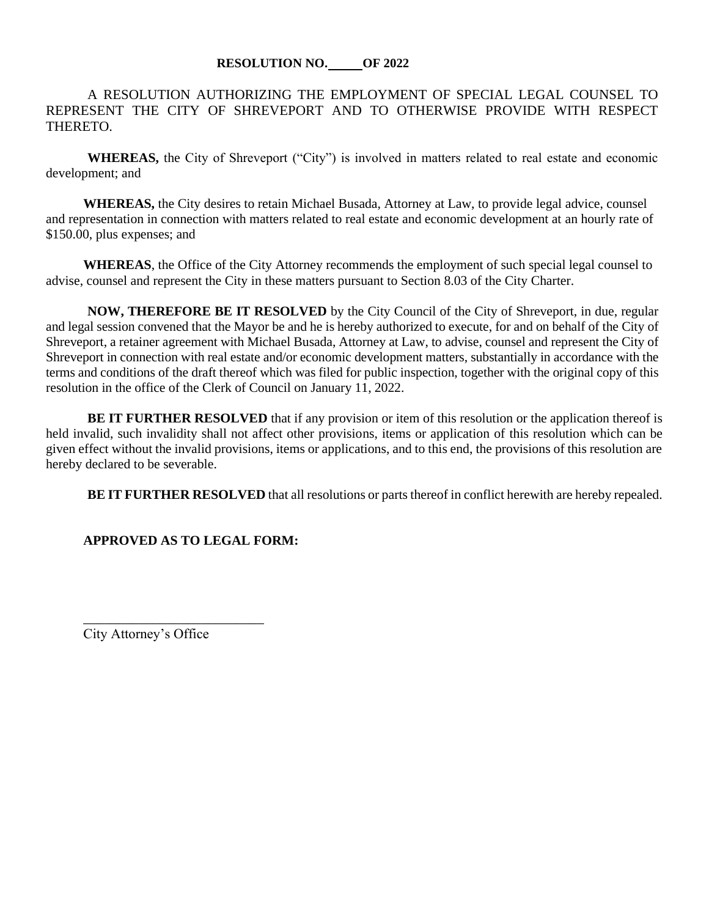## **RESOLUTION NO. OF 2022**

A RESOLUTION AUTHORIZING THE EMPLOYMENT OF SPECIAL LEGAL COUNSEL TO REPRESENT THE CITY OF SHREVEPORT AND TO OTHERWISE PROVIDE WITH RESPECT THERETO.

**WHEREAS,** the City of Shreveport ("City") is involved in matters related to real estate and economic development; and

**WHEREAS,** the City desires to retain Michael Busada, Attorney at Law, to provide legal advice, counsel and representation in connection with matters related to real estate and economic development at an hourly rate of \$150.00, plus expenses; and

**WHEREAS**, the Office of the City Attorney recommends the employment of such special legal counsel to advise, counsel and represent the City in these matters pursuant to Section 8.03 of the City Charter.

**NOW, THEREFORE BE IT RESOLVED** by the City Council of the City of Shreveport, in due, regular and legal session convened that the Mayor be and he is hereby authorized to execute, for and on behalf of the City of Shreveport, a retainer agreement with Michael Busada, Attorney at Law, to advise, counsel and represent the City of Shreveport in connection with real estate and/or economic development matters, substantially in accordance with the terms and conditions of the draft thereof which was filed for public inspection, together with the original copy of this resolution in the office of the Clerk of Council on January 11, 2022.

**BE IT FURTHER RESOLVED** that if any provision or item of this resolution or the application thereof is held invalid, such invalidity shall not affect other provisions, items or application of this resolution which can be given effect without the invalid provisions, items or applications, and to this end, the provisions of this resolution are hereby declared to be severable.

**BE IT FURTHER RESOLVED** that all resolutions or parts thereof in conflict herewith are hereby repealed.

## **APPROVED AS TO LEGAL FORM:**

City Attorney's Office

\_\_\_\_\_\_\_\_\_\_\_\_\_\_\_\_\_\_\_\_\_\_\_\_\_\_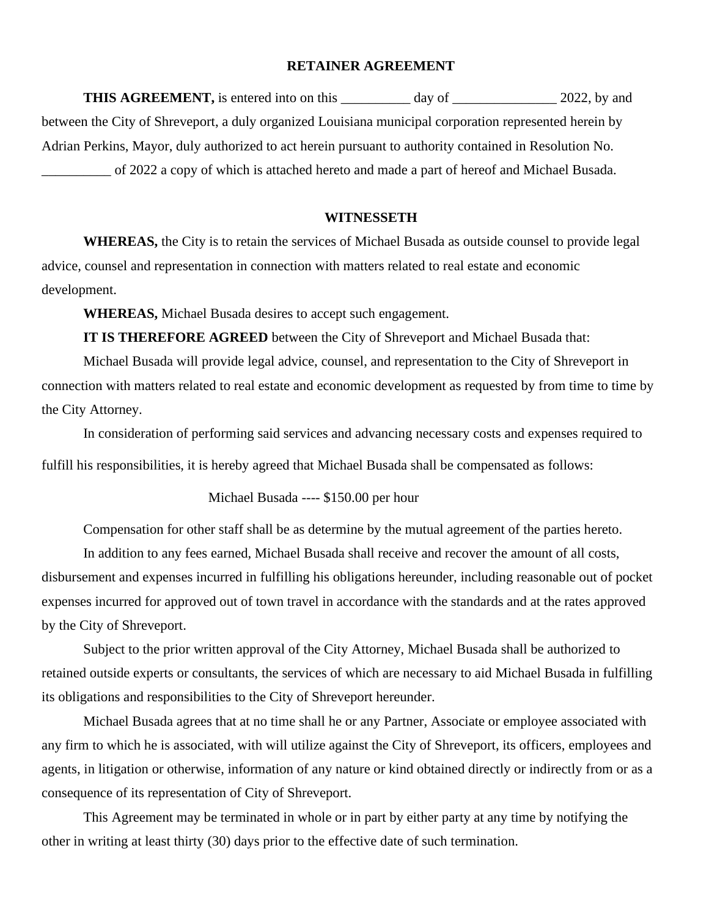### **RETAINER AGREEMENT**

THIS AGREEMENT, is entered into on this \_\_\_\_\_\_\_\_\_\_ day of \_\_\_\_\_\_\_\_\_\_\_\_\_\_ 2022, by and between the City of Shreveport, a duly organized Louisiana municipal corporation represented herein by Adrian Perkins, Mayor, duly authorized to act herein pursuant to authority contained in Resolution No. \_\_\_\_\_\_\_\_\_\_ of 2022 a copy of which is attached hereto and made a part of hereof and Michael Busada.

### **WITNESSETH**

**WHEREAS,** the City is to retain the services of Michael Busada as outside counsel to provide legal advice, counsel and representation in connection with matters related to real estate and economic development.

**WHEREAS,** Michael Busada desires to accept such engagement.

**IT IS THEREFORE AGREED** between the City of Shreveport and Michael Busada that:

Michael Busada will provide legal advice, counsel, and representation to the City of Shreveport in connection with matters related to real estate and economic development as requested by from time to time by the City Attorney.

In consideration of performing said services and advancing necessary costs and expenses required to fulfill his responsibilities, it is hereby agreed that Michael Busada shall be compensated as follows:

Michael Busada ---- \$150.00 per hour

Compensation for other staff shall be as determine by the mutual agreement of the parties hereto.

In addition to any fees earned, Michael Busada shall receive and recover the amount of all costs, disbursement and expenses incurred in fulfilling his obligations hereunder, including reasonable out of pocket expenses incurred for approved out of town travel in accordance with the standards and at the rates approved by the City of Shreveport.

Subject to the prior written approval of the City Attorney, Michael Busada shall be authorized to retained outside experts or consultants, the services of which are necessary to aid Michael Busada in fulfilling its obligations and responsibilities to the City of Shreveport hereunder.

Michael Busada agrees that at no time shall he or any Partner, Associate or employee associated with any firm to which he is associated, with will utilize against the City of Shreveport, its officers, employees and agents, in litigation or otherwise, information of any nature or kind obtained directly or indirectly from or as a consequence of its representation of City of Shreveport.

This Agreement may be terminated in whole or in part by either party at any time by notifying the other in writing at least thirty (30) days prior to the effective date of such termination.